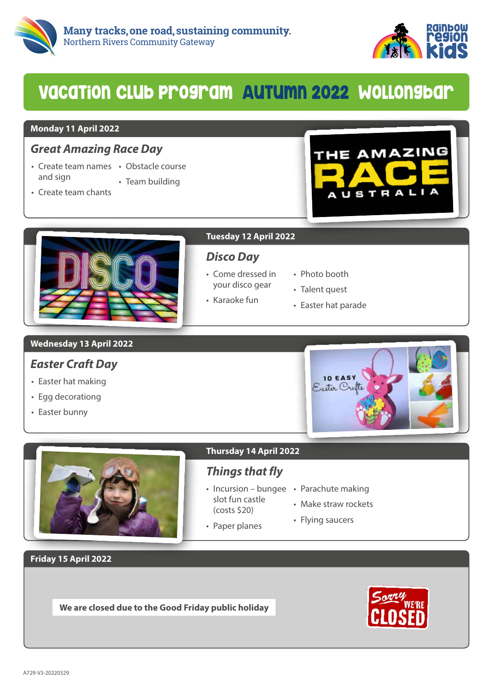



# VacaTion Club program AuTumn 2022 Wollongbar

#### **Monday 11 April 2022**

## *Great Amazing Race Day*

- Create team names Obstacle course and sign
	- Team building
- Create team chants





### **Tuesday 12 April 2022**

## *Disco Day*

- Come dressed in your disco gear
- Karaoke fun
- Photo booth
- Talent quest
- Easter hat parade

### **Wednesday 13 April 2022**

## *Easter Craft Day*

- Easter hat making
- Egg decorationg
- Easter bunny



#### **Thursday 14 April 2022**

# *Things that fly*

- Incursion bungee Parachute making slot fun castle
- (costs \$20) • Paper planes
- Make straw rockets
- Flying saucers

**Friday 15 April 2022**

**We are closed due to the Good Friday public holiday**

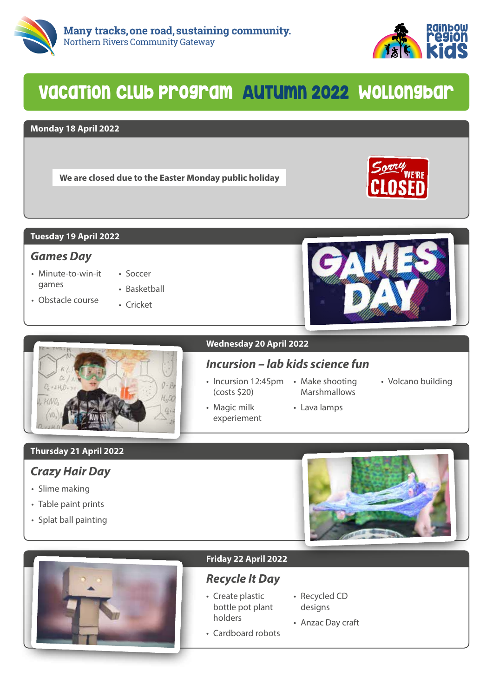



# VacaTion Club program AuTumn 2022 Wollongbar

#### **Monday 18 April 2022**

**We are closed due to the Easter Monday public holiday**



#### **Tuesday 19 April 2022**

## *Games Day*

• Minute-to-win-it games

• Obstacle course

- Soccer • Basketball
- Cricket





### **Wednesday 20 April 2022**

## *Incursion – lab kids science fun*

• Incursion 12:45pm • Make shooting (costs \$20)

• Magic milk experiement Marshmallows

• Lava lamps

• Volcano building

**Thursday 21 April 2022**

## *Crazy Hair Day*

- Slime making
- Table paint prints
- Splat ball painting





#### **Friday 22 April 2022**

## *Recycle It Day*

- Create plastic bottle pot plant holders
- Recycled CD designs
- Cardboard robots • Anzac Day craft